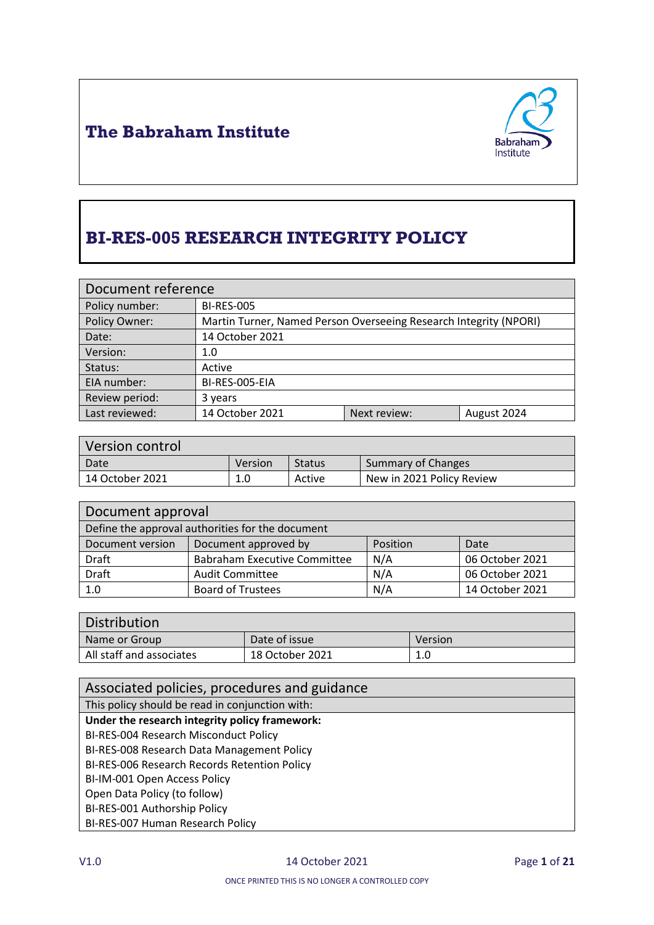



# **BI-RES-005 RESEARCH INTEGRITY POLICY**

| Document reference |                                                                   |              |             |
|--------------------|-------------------------------------------------------------------|--------------|-------------|
| Policy number:     | <b>BI-RES-005</b>                                                 |              |             |
| Policy Owner:      | Martin Turner, Named Person Overseeing Research Integrity (NPORI) |              |             |
| Date:              | 14 October 2021                                                   |              |             |
| Version:           | 1.0                                                               |              |             |
| Status:            | Active                                                            |              |             |
| EIA number:        | BI-RES-005-EIA                                                    |              |             |
| Review period:     | 3 years                                                           |              |             |
| Last reviewed:     | 14 October 2021                                                   | Next review: | August 2024 |

| Version control |                |               |                           |
|-----------------|----------------|---------------|---------------------------|
| Date            | <b>Version</b> | <b>Status</b> | Summary of Changes        |
| 14 October 2021 | 1.0            | Active        | New in 2021 Policy Review |

| Document approval                                |                                     |          |                 |
|--------------------------------------------------|-------------------------------------|----------|-----------------|
| Define the approval authorities for the document |                                     |          |                 |
| Document version                                 | Document approved by                | Position | Date            |
| Draft                                            | <b>Babraham Executive Committee</b> | N/A      | 06 October 2021 |
| <b>Draft</b>                                     | <b>Audit Committee</b>              | N/A      | 06 October 2021 |
| 1.0                                              | <b>Board of Trustees</b>            | N/A      | 14 October 2021 |

| Distribution             |                 |         |  |
|--------------------------|-----------------|---------|--|
| Name or Group            | Date of issue   | Version |  |
| All staff and associates | 18 October 2021 | 1.0     |  |

| Associated policies, procedures and guidance    |
|-------------------------------------------------|
| This policy should be read in conjunction with: |
| Under the research integrity policy framework:  |
| BI-RES-004 Research Misconduct Policy           |
| BI-RES-008 Research Data Management Policy      |
| BI-RES-006 Research Records Retention Policy    |
| BI-IM-001 Open Access Policy                    |
| Open Data Policy (to follow)                    |
| BI-RES-001 Authorship Policy                    |
| BI-RES-007 Human Research Policy                |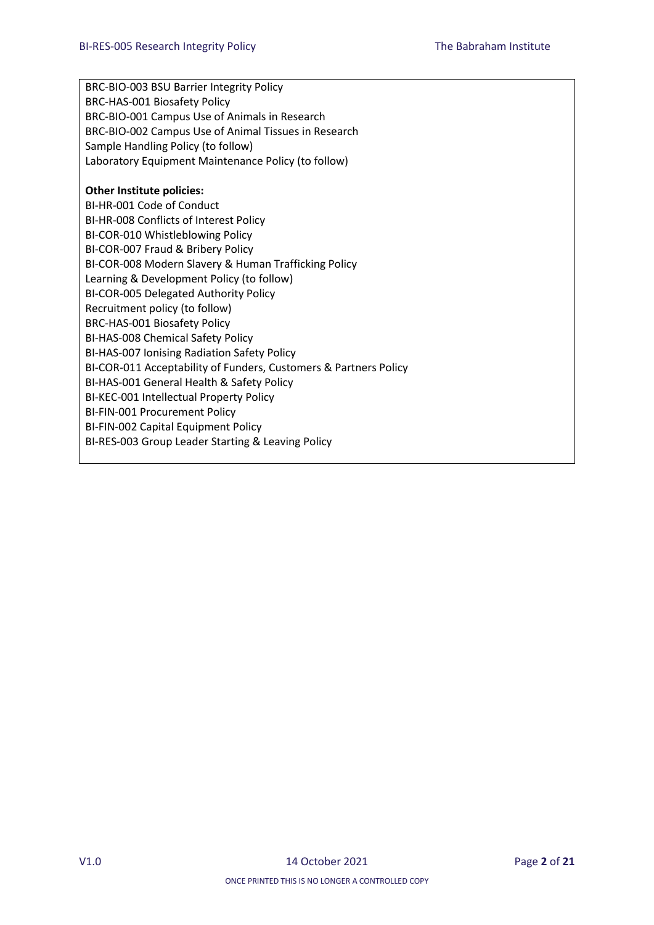BRC-BIO-003 BSU Barrier Integrity Policy BRC-HAS-001 Biosafety Policy BRC-BIO-001 Campus Use of Animals in Research BRC-BIO-002 Campus Use of Animal Tissues in Research Sample Handling Policy (to follow) Laboratory Equipment Maintenance Policy (to follow)

#### **Other Institute policies:**

BI-HR-001 Code of Conduct BI-HR-008 Conflicts of Interest Policy BI-COR-010 Whistleblowing Policy BI-COR-007 Fraud & Bribery Policy BI-COR-008 Modern Slavery & Human Trafficking Policy Learning & Development Policy (to follow) BI-COR-005 Delegated Authority Policy Recruitment policy (to follow) BRC-HAS-001 Biosafety Policy BI-HAS-008 Chemical Safety Policy BI-HAS-007 Ionising Radiation Safety Policy BI-COR-011 Acceptability of Funders, Customers & Partners Policy BI-HAS-001 General Health & Safety Policy BI-KEC-001 Intellectual Property Policy BI-FIN-001 Procurement Policy BI-FIN-002 Capital Equipment Policy BI-RES-003 Group Leader Starting & Leaving Policy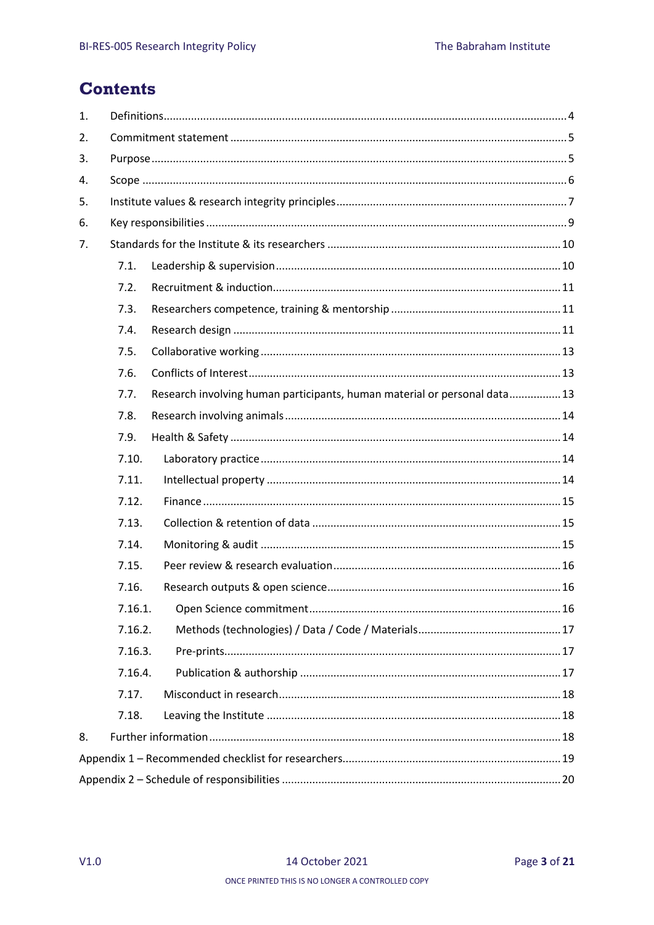# **Contents**

| 1. |         |                                                                           |  |
|----|---------|---------------------------------------------------------------------------|--|
| 2. |         |                                                                           |  |
| 3. |         |                                                                           |  |
| 4. |         |                                                                           |  |
| 5. |         |                                                                           |  |
| 6. |         |                                                                           |  |
| 7. |         |                                                                           |  |
|    | 7.1.    |                                                                           |  |
|    | 7.2.    |                                                                           |  |
|    | 7.3.    |                                                                           |  |
|    | 7.4.    |                                                                           |  |
|    | 7.5.    |                                                                           |  |
|    | 7.6.    |                                                                           |  |
|    | 7.7.    | Research involving human participants, human material or personal data 13 |  |
|    | 7.8.    |                                                                           |  |
|    | 7.9.    |                                                                           |  |
|    | 7.10.   |                                                                           |  |
|    | 7.11.   |                                                                           |  |
|    | 7.12.   |                                                                           |  |
|    | 7.13.   |                                                                           |  |
|    | 7.14.   |                                                                           |  |
|    | 7.15.   |                                                                           |  |
|    | 7.16.   |                                                                           |  |
|    | 7.16.1. |                                                                           |  |
|    | 7.16.2. |                                                                           |  |
|    | 7.16.3. |                                                                           |  |
|    | 7.16.4. |                                                                           |  |
|    | 7.17.   |                                                                           |  |
|    | 7.18.   |                                                                           |  |
| 8. |         |                                                                           |  |
|    |         |                                                                           |  |
|    |         |                                                                           |  |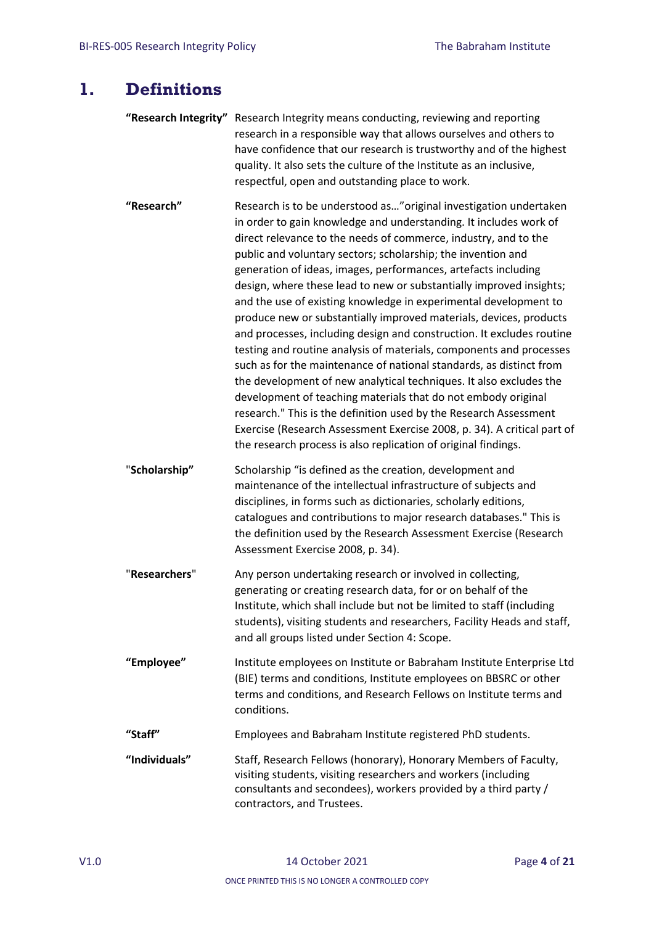## <span id="page-3-0"></span>**1. Definitions**

| "Research Integrity" Research Integrity means conducting, reviewing and reporting |
|-----------------------------------------------------------------------------------|
| research in a responsible way that allows ourselves and others to                 |
| have confidence that our research is trustworthy and of the highest               |
| quality. It also sets the culture of the Institute as an inclusive,               |
| respectful, open and outstanding place to work.                                   |

- **"Research"** Research is to be understood as…"original investigation undertaken in order to gain knowledge and understanding. It includes work of direct relevance to the needs of commerce, industry, and to the public and voluntary sectors; scholarship; the invention and generation of ideas, images, performances, artefacts including design, where these lead to new or substantially improved insights; and the use of existing knowledge in experimental development to produce new or substantially improved materials, devices, products and processes, including design and construction. It excludes routine testing and routine analysis of materials, components and processes such as for the maintenance of national standards, as distinct from the development of new analytical techniques. It also excludes the development of teaching materials that do not embody original research." This is the definition used by the Research Assessment Exercise (Research Assessment Exercise 2008, p. 34). A critical part of the research process is also replication of original findings.
- "**Scholarship"** Scholarship "is defined as the creation, development and maintenance of the intellectual infrastructure of subjects and disciplines, in forms such as dictionaries, scholarly editions, catalogues and contributions to major research databases." This is the definition used by the Research Assessment Exercise (Research Assessment Exercise 2008, p. 34).
- "**Researchers**" Any person undertaking research or involved in collecting, generating or creating research data, for or on behalf of the Institute, which shall include but not be limited to staff (including students), visiting students and researchers, Facility Heads and staff, and all groups listed under Section 4: Scope.
- **"Employee"** Institute employees on Institute or Babraham Institute Enterprise Ltd (BIE) terms and conditions, Institute employees on BBSRC or other terms and conditions, and Research Fellows on Institute terms and conditions.
- **"Staff"** Employees and Babraham Institute registered PhD students.
- **"Individuals"** Staff, Research Fellows (honorary), Honorary Members of Faculty, visiting students, visiting researchers and workers (including consultants and secondees), workers provided by a third party / contractors, and Trustees.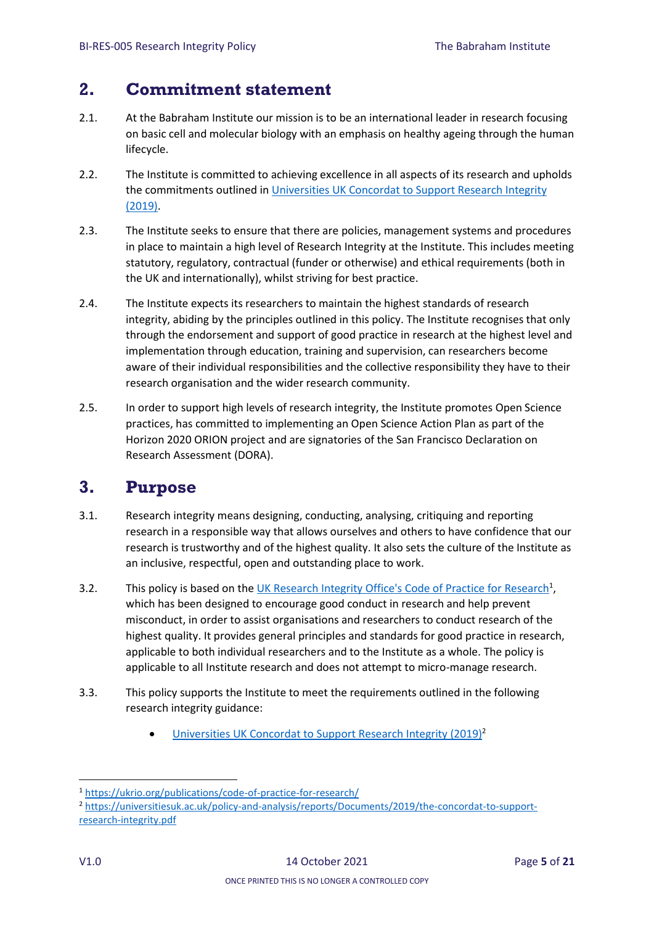# <span id="page-4-0"></span>**2. Commitment statement**

- 2.1. At the Babraham Institute our mission is to be an international leader in research focusing on basic cell and molecular biology with an emphasis on healthy ageing through the human lifecycle.
- 2.2. The Institute is committed to achieving excellence in all aspects of its research and upholds the commitments outlined in [Universities UK Concordat to Support Research Integrity](https://universitiesuk.ac.uk/policy-and-analysis/reports/Documents/2019/the-concordat-to-support-research-integrity.pdf)  [\(2019\).](https://universitiesuk.ac.uk/policy-and-analysis/reports/Documents/2019/the-concordat-to-support-research-integrity.pdf)
- 2.3. The Institute seeks to ensure that there are policies, management systems and procedures in place to maintain a high level of Research Integrity at the Institute. This includes meeting statutory, regulatory, contractual (funder or otherwise) and ethical requirements (both in the UK and internationally), whilst striving for best practice.
- 2.4. The Institute expects its researchers to maintain the highest standards of research integrity, abiding by the principles outlined in this policy. The Institute recognises that only through the endorsement and support of good practice in research at the highest level and implementation through education, training and supervision, can researchers become aware of their individual responsibilities and the collective responsibility they have to their research organisation and the wider research community.
- 2.5. In order to support high levels of research integrity, the Institute promotes Open Science practices, has committed to implementing an Open Science Action Plan as part of the Horizon 2020 ORION project and are signatories of the San Francisco Declaration on Research Assessment (DORA).

# <span id="page-4-1"></span>**3. Purpose**

- 3.1. Research integrity means designing, conducting, analysing, critiquing and reporting research in a responsible way that allows ourselves and others to have confidence that our research is trustworthy and of the highest quality. It also sets the culture of the Institute as an inclusive, respectful, open and outstanding place to work.
- 3.2. This policy is based on th[e UK Research Integrity Office's Code of Practice for Research](https://ukrio.org/publications/code-of-practice-for-research/)<sup>1</sup>, which has been designed to encourage good conduct in research and help prevent misconduct, in order to assist organisations and researchers to conduct research of the highest quality. It provides general principles and standards for good practice in research, applicable to both individual researchers and to the Institute as a whole. The policy is applicable to all Institute research and does not attempt to micro-manage research.
- 3.3. This policy supports the Institute to meet the requirements outlined in the following research integrity guidance:
	- [Universities UK Concordat to Support Research Integrity \(2019\)](https://universitiesuk.ac.uk/policy-and-analysis/reports/Documents/2019/the-concordat-to-support-research-integrity.pdf)<sup>2</sup>

<sup>1</sup> <https://ukrio.org/publications/code-of-practice-for-research/>

<sup>2</sup> [https://universitiesuk.ac.uk/policy-and-analysis/reports/Documents/2019/the-concordat-to-support](https://universitiesuk.ac.uk/policy-and-analysis/reports/Documents/2019/the-concordat-to-support-research-integrity.pdf)[research-integrity.pdf](https://universitiesuk.ac.uk/policy-and-analysis/reports/Documents/2019/the-concordat-to-support-research-integrity.pdf)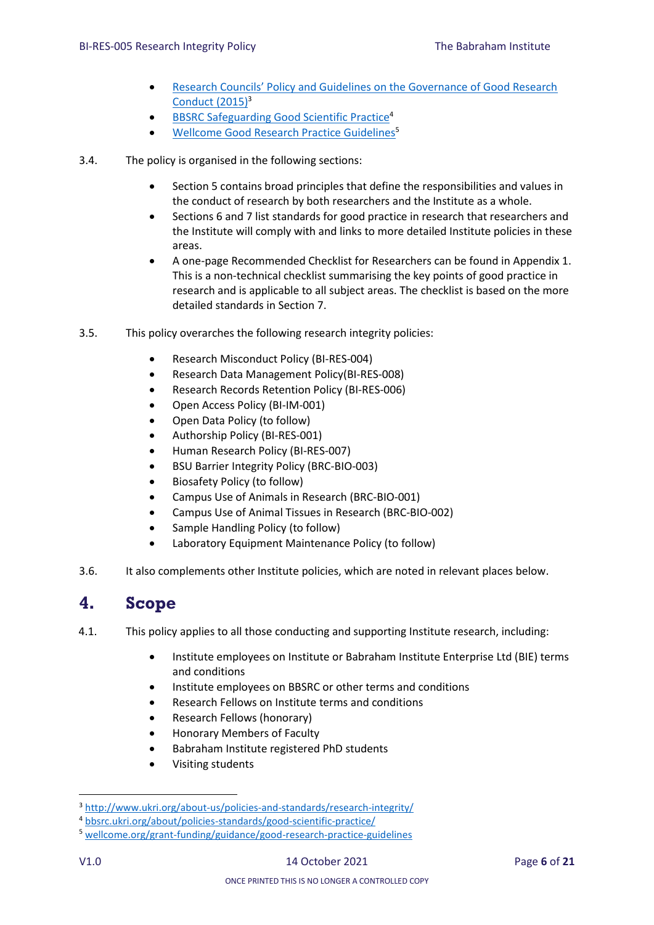- [Research Councils' Policy and Guidelines on the Governance of Good Research](http://www.ukri.org/about-us/policies-and-standards/research-integrity/)  [Conduct \(2015\)](http://www.ukri.org/about-us/policies-and-standards/research-integrity/)<sup>3</sup>
- [BBSRC Safeguarding Good Scientific Practice](file:///C:/Users/lilleyk/AppData/Local/Microsoft/Windows/INetCache/Content.Outlook/9B7LR01U/bbsrc.ukri.org/about/policies-standards/good-scientific-practice/)<sup>4</sup>
- [Wellcome Good Research Practice Guidelines](https://wellcome.org/grant-funding/guidance/good-research-practice-guidelines)<sup>5</sup>
- 3.4. The policy is organised in the following sections:
	- Section 5 contains broad principles that define the responsibilities and values in the conduct of research by both researchers and the Institute as a whole.
	- Sections 6 and 7 list standards for good practice in research that researchers and the Institute will comply with and links to more detailed Institute policies in these areas.
	- A one-page Recommended Checklist for Researchers can be found in Appendix 1. This is a non-technical checklist summarising the key points of good practice in research and is applicable to all subject areas. The checklist is based on the more detailed standards in Section 7.
- 3.5. This policy overarches the following research integrity policies:
	- Research Misconduct Policy (BI-RES-004)
	- Research Data Management Policy(BI-RES-008)
	- Research Records Retention Policy (BI-RES-006)
	- Open Access Policy (BI-IM-001)
	- Open Data Policy (to follow)
	- Authorship Policy (BI-RES-001)
	- Human Research Policy (BI-RES-007)
	- BSU Barrier Integrity Policy (BRC-BIO-003)
	- Biosafety Policy (to follow)
	- Campus Use of Animals in Research (BRC-BIO-001)
	- Campus Use of Animal Tissues in Research (BRC-BIO-002)
	- Sample Handling Policy (to follow)
	- Laboratory Equipment Maintenance Policy (to follow)
- 3.6. It also complements other Institute policies, which are noted in relevant places below.

## <span id="page-5-0"></span>**4. Scope**

- 4.1. This policy applies to all those conducting and supporting Institute research, including:
	- Institute employees on Institute or Babraham Institute Enterprise Ltd (BIE) terms and conditions
	- Institute employees on BBSRC or other terms and conditions
	- Research Fellows on Institute terms and conditions
	- Research Fellows (honorary)
	- Honorary Members of Faculty
	- Babraham Institute registered PhD students
	- Visiting students

<sup>3</sup> <http://www.ukri.org/about-us/policies-and-standards/research-integrity/>

<sup>4</sup> [bbsrc.ukri.org/about/policies-standards/good-scientific-practice/](file:///C:/Users/smythec/AppData/Local/Microsoft/Windows/INetCache/Content.Outlook/WNF8YXGT/bbsrc.ukri.org/about/policies-standards/good-scientific-practice/)

<sup>5</sup> [wellcome.org/grant-funding/guidance/good-research-practice-guidelines](https://wellcome.org/grant-funding/guidance/good-research-practice-guidelines)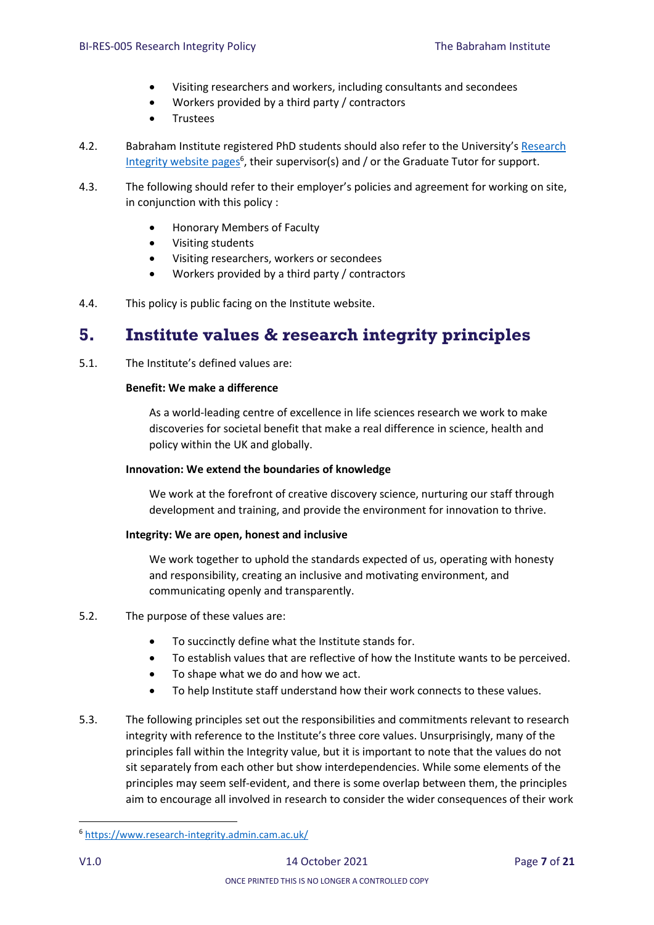- Visiting researchers and workers, including consultants and secondees
- Workers provided by a third party / contractors
- Trustees
- 4.2. Babraham Institute registered PhD students should also refer to the University's [Research](https://www.research-integrity.admin.cam.ac.uk/)  [Integrity website pages](https://www.research-integrity.admin.cam.ac.uk/)<sup>6</sup>, their supervisor(s) and / or the Graduate Tutor for support.
- 4.3. The following should refer to their employer's policies and agreement for working on site, in conjunction with this policy :
	- Honorary Members of Faculty
	- Visiting students
	- Visiting researchers, workers or secondees
	- Workers provided by a third party / contractors
- 4.4. This policy is public facing on the Institute website.

## <span id="page-6-0"></span>**5. Institute values & research integrity principles**

5.1. The Institute's defined values are:

#### **Benefit: We make a difference**

As a world-leading centre of excellence in life sciences research we work to make discoveries for societal benefit that make a real difference in science, health and policy within the UK and globally.

#### **Innovation: We extend the boundaries of knowledge**

We work at the forefront of creative discovery science, nurturing our staff through development and training, and provide the environment for innovation to thrive.

#### **Integrity: We are open, honest and inclusive**

We work together to uphold the standards expected of us, operating with honesty and responsibility, creating an inclusive and motivating environment, and communicating openly and transparently.

#### 5.2. The purpose of these values are:

- To succinctly define what the Institute stands for.
- To establish values that are reflective of how the Institute wants to be perceived.
- To shape what we do and how we act.
- To help Institute staff understand how their work connects to these values.
- 5.3. The following principles set out the responsibilities and commitments relevant to research integrity with reference to the Institute's three core values. Unsurprisingly, many of the principles fall within the Integrity value, but it is important to note that the values do not sit separately from each other but show interdependencies. While some elements of the principles may seem self-evident, and there is some overlap between them, the principles aim to encourage all involved in research to consider the wider consequences of their work

<sup>6</sup> <https://www.research-integrity.admin.cam.ac.uk/>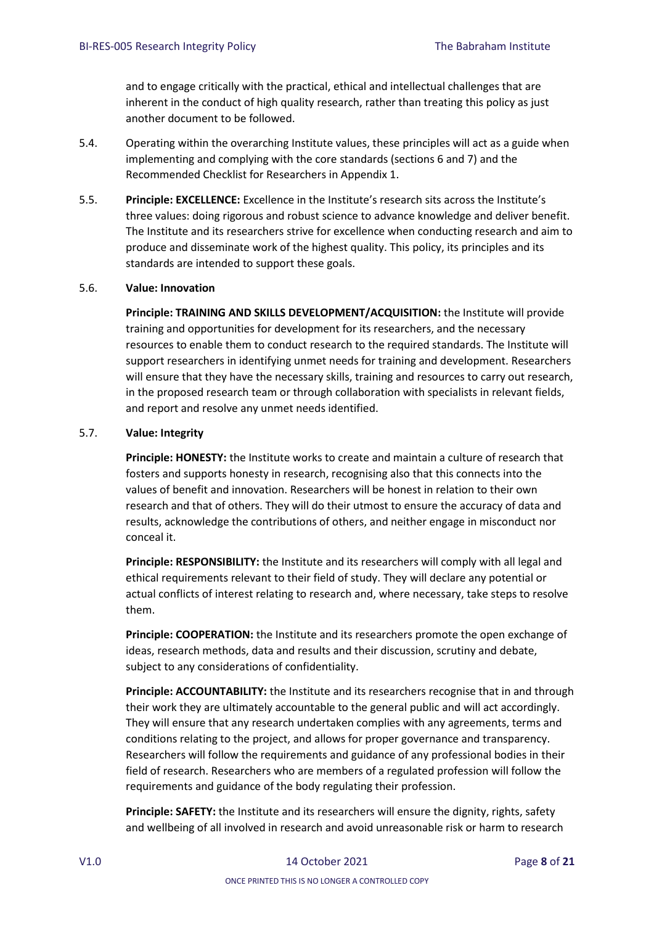and to engage critically with the practical, ethical and intellectual challenges that are inherent in the conduct of high quality research, rather than treating this policy as just another document to be followed.

- 5.4. Operating within the overarching Institute values, these principles will act as a guide when implementing and complying with the core standards (sections 6 and 7) and the Recommended Checklist for Researchers in Appendix 1.
- 5.5. **Principle: EXCELLENCE:** Excellence in the Institute's research sits across the Institute's three values: doing rigorous and robust science to advance knowledge and deliver benefit. The Institute and its researchers strive for excellence when conducting research and aim to produce and disseminate work of the highest quality. This policy, its principles and its standards are intended to support these goals.

#### 5.6. **Value: Innovation**

**Principle: TRAINING AND SKILLS DEVELOPMENT/ACQUISITION:** the Institute will provide training and opportunities for development for its researchers, and the necessary resources to enable them to conduct research to the required standards. The Institute will support researchers in identifying unmet needs for training and development. Researchers will ensure that they have the necessary skills, training and resources to carry out research, in the proposed research team or through collaboration with specialists in relevant fields, and report and resolve any unmet needs identified.

#### 5.7. **Value: Integrity**

**Principle: HONESTY:** the Institute works to create and maintain a culture of research that fosters and supports honesty in research, recognising also that this connects into the values of benefit and innovation. Researchers will be honest in relation to their own research and that of others. They will do their utmost to ensure the accuracy of data and results, acknowledge the contributions of others, and neither engage in misconduct nor conceal it.

**Principle: RESPONSIBILITY:** the Institute and its researchers will comply with all legal and ethical requirements relevant to their field of study. They will declare any potential or actual conflicts of interest relating to research and, where necessary, take steps to resolve them.

**Principle: COOPERATION:** the Institute and its researchers promote the open exchange of ideas, research methods, data and results and their discussion, scrutiny and debate, subject to any considerations of confidentiality.

**Principle: ACCOUNTABILITY:** the Institute and its researchers recognise that in and through their work they are ultimately accountable to the general public and will act accordingly. They will ensure that any research undertaken complies with any agreements, terms and conditions relating to the project, and allows for proper governance and transparency. Researchers will follow the requirements and guidance of any professional bodies in their field of research. Researchers who are members of a regulated profession will follow the requirements and guidance of the body regulating their profession.

**Principle: SAFETY:** the Institute and its researchers will ensure the dignity, rights, safety and wellbeing of all involved in research and avoid unreasonable risk or harm to research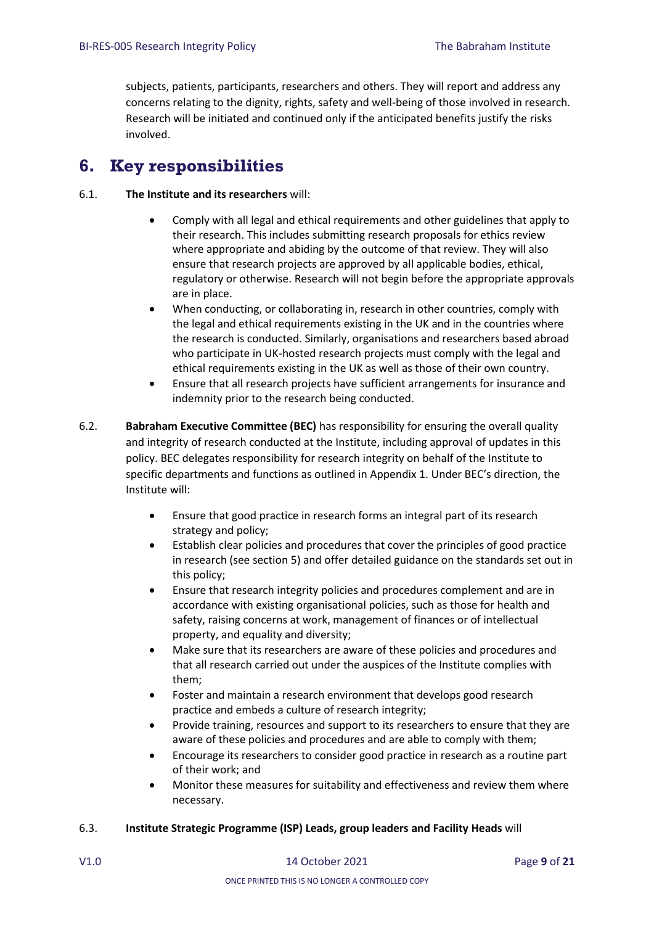subjects, patients, participants, researchers and others. They will report and address any concerns relating to the dignity, rights, safety and well-being of those involved in research. Research will be initiated and continued only if the anticipated benefits justify the risks involved.

# <span id="page-8-0"></span>**6. Key responsibilities**

#### 6.1. **The Institute and its researchers** will:

- Comply with all legal and ethical requirements and other guidelines that apply to their research. This includes submitting research proposals for ethics review where appropriate and abiding by the outcome of that review. They will also ensure that research projects are approved by all applicable bodies, ethical, regulatory or otherwise. Research will not begin before the appropriate approvals are in place.
- When conducting, or collaborating in, research in other countries, comply with the legal and ethical requirements existing in the UK and in the countries where the research is conducted. Similarly, organisations and researchers based abroad who participate in UK-hosted research projects must comply with the legal and ethical requirements existing in the UK as well as those of their own country.
- Ensure that all research projects have sufficient arrangements for insurance and indemnity prior to the research being conducted.
- 6.2. **Babraham Executive Committee (BEC)** has responsibility for ensuring the overall quality and integrity of research conducted at the Institute, including approval of updates in this policy. BEC delegates responsibility for research integrity on behalf of the Institute to specific departments and functions as outlined in Appendix 1. Under BEC's direction, the Institute will:
	- Ensure that good practice in research forms an integral part of its research strategy and policy;
	- Establish clear policies and procedures that cover the principles of good practice in research (see section 5) and offer detailed guidance on the standards set out in this policy;
	- Ensure that research integrity policies and procedures complement and are in accordance with existing organisational policies, such as those for health and safety, raising concerns at work, management of finances or of intellectual property, and equality and diversity;
	- Make sure that its researchers are aware of these policies and procedures and that all research carried out under the auspices of the Institute complies with them;
	- Foster and maintain a research environment that develops good research practice and embeds a culture of research integrity;
	- Provide training, resources and support to its researchers to ensure that they are aware of these policies and procedures and are able to comply with them;
	- Encourage its researchers to consider good practice in research as a routine part of their work; and
	- Monitor these measures for suitability and effectiveness and review them where necessary.

#### 6.3. **Institute Strategic Programme (ISP) Leads, group leaders and Facility Heads** will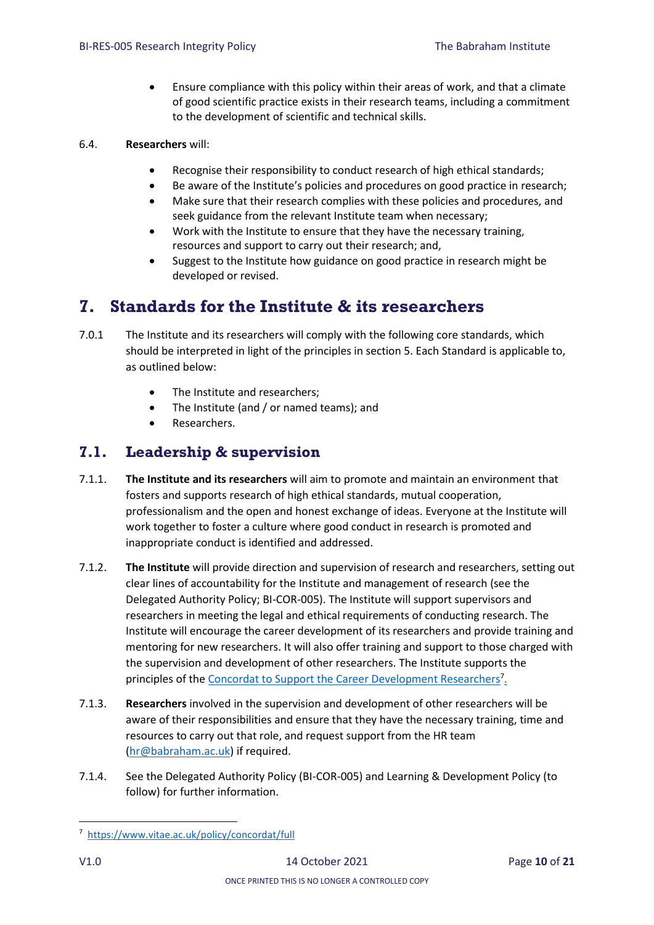Ensure compliance with this policy within their areas of work, and that a climate of good scientific practice exists in their research teams, including a commitment to the development of scientific and technical skills.

#### 6.4. **Researchers** will:

- Recognise their responsibility to conduct research of high ethical standards;
- Be aware of the Institute's policies and procedures on good practice in research;
- Make sure that their research complies with these policies and procedures, and seek guidance from the relevant Institute team when necessary;
- Work with the Institute to ensure that they have the necessary training, resources and support to carry out their research; and,
- Suggest to the Institute how guidance on good practice in research might be developed or revised.

# <span id="page-9-0"></span>**7. Standards for the Institute & its researchers**

- 7.0.1 The Institute and its researchers will comply with the following core standards, which should be interpreted in light of the principles in section 5. Each Standard is applicable to, as outlined below:
	- The Institute and researchers;
	- The Institute (and / or named teams); and
	- Researchers.

## <span id="page-9-1"></span>**7.1. Leadership & supervision**

- 7.1.1. **The Institute and its researchers** will aim to promote and maintain an environment that fosters and supports research of high ethical standards, mutual cooperation, professionalism and the open and honest exchange of ideas. Everyone at the Institute will work together to foster a culture where good conduct in research is promoted and inappropriate conduct is identified and addressed.
- 7.1.2. **The Institute** will provide direction and supervision of research and researchers, setting out clear lines of accountability for the Institute and management of research (see the Delegated Authority Policy; BI-COR-005). The Institute will support supervisors and researchers in meeting the legal and ethical requirements of conducting research. The Institute will encourage the career development of its researchers and provide training and mentoring for new researchers. It will also offer training and support to those charged with the supervision and development of other researchers. The Institute supports the principles of the [Concordat to Support the Career Development Researchers](https://www.vitae.ac.uk/policy/concordat/full)<sup>7</sup>.
- 7.1.3. **Researchers** involved in the supervision and development of other researchers will be aware of their responsibilities and ensure that they have the necessary training, time and resources to carry out that role, and request support from the HR team [\(hr@babraham.ac.uk\)](mailto:hr@babraham.ac.uk) if required.
- 7.1.4. See the Delegated Authority Policy (BI-COR-005) and Learning & Development Policy (to follow) for further information.

**<sup>.</sup>** 7 <https://www.vitae.ac.uk/policy/concordat/full>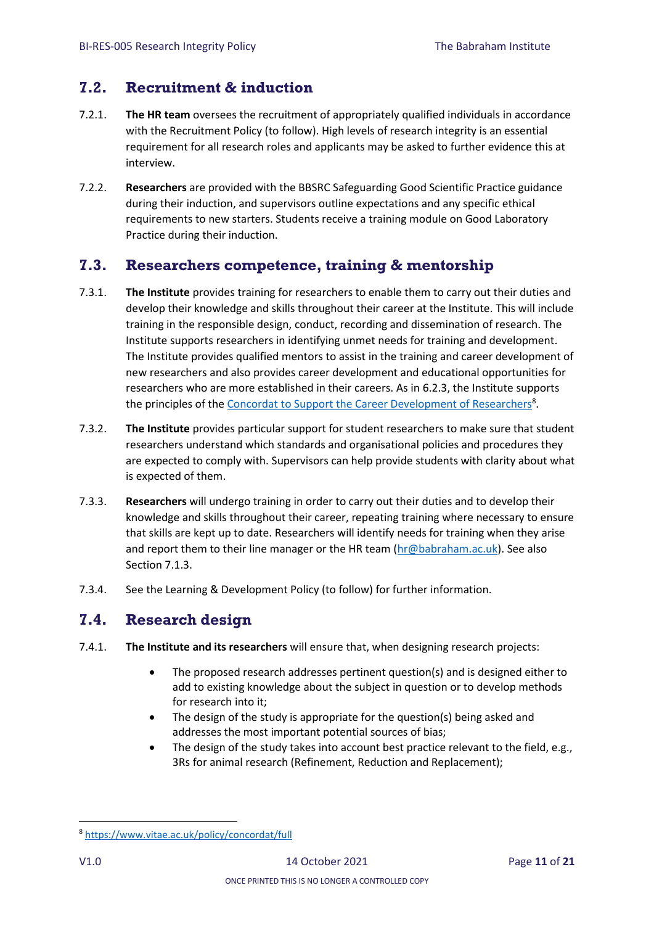### <span id="page-10-0"></span>**7.2. Recruitment & induction**

- 7.2.1. **The HR team** oversees the recruitment of appropriately qualified individuals in accordance with the Recruitment Policy (to follow). High levels of research integrity is an essential requirement for all research roles and applicants may be asked to further evidence this at interview.
- 7.2.2. **Researchers** are provided with the BBSRC Safeguarding Good Scientific Practice guidance during their induction, and supervisors outline expectations and any specific ethical requirements to new starters. Students receive a training module on Good Laboratory Practice during their induction.

### <span id="page-10-1"></span>**7.3. Researchers competence, training & mentorship**

- 7.3.1. **The Institute** provides training for researchers to enable them to carry out their duties and develop their knowledge and skills throughout their career at the Institute. This will include training in the responsible design, conduct, recording and dissemination of research. The Institute supports researchers in identifying unmet needs for training and development. The Institute provides qualified mentors to assist in the training and career development of new researchers and also provides career development and educational opportunities for researchers who are more established in their careers. As in 6.2.3, the Institute supports the principles of th[e Concordat to Support the Career Development of Researchers](https://www.vitae.ac.uk/policy/concordat/full)<sup>8</sup>.
- 7.3.2. **The Institute** provides particular support for student researchers to make sure that student researchers understand which standards and organisational policies and procedures they are expected to comply with. Supervisors can help provide students with clarity about what is expected of them.
- 7.3.3. **Researchers** will undergo training in order to carry out their duties and to develop their knowledge and skills throughout their career, repeating training where necessary to ensure that skills are kept up to date. Researchers will identify needs for training when they arise and report them to their line manager or the HR team ( $\ln(\omega)$ babraham.ac.uk). See also Section 7.1.3.
- 7.3.4. See the Learning & Development Policy (to follow) for further information.

### <span id="page-10-2"></span>**7.4. Research design**

- 7.4.1. **The Institute and its researchers** will ensure that, when designing research projects:
	- The proposed research addresses pertinent question(s) and is designed either to add to existing knowledge about the subject in question or to develop methods for research into it;
	- The design of the study is appropriate for the question(s) being asked and addresses the most important potential sources of bias;
	- The design of the study takes into account best practice relevant to the field, e.g., 3Rs for animal research (Refinement, Reduction and Replacement);

<sup>8</sup> <https://www.vitae.ac.uk/policy/concordat/full>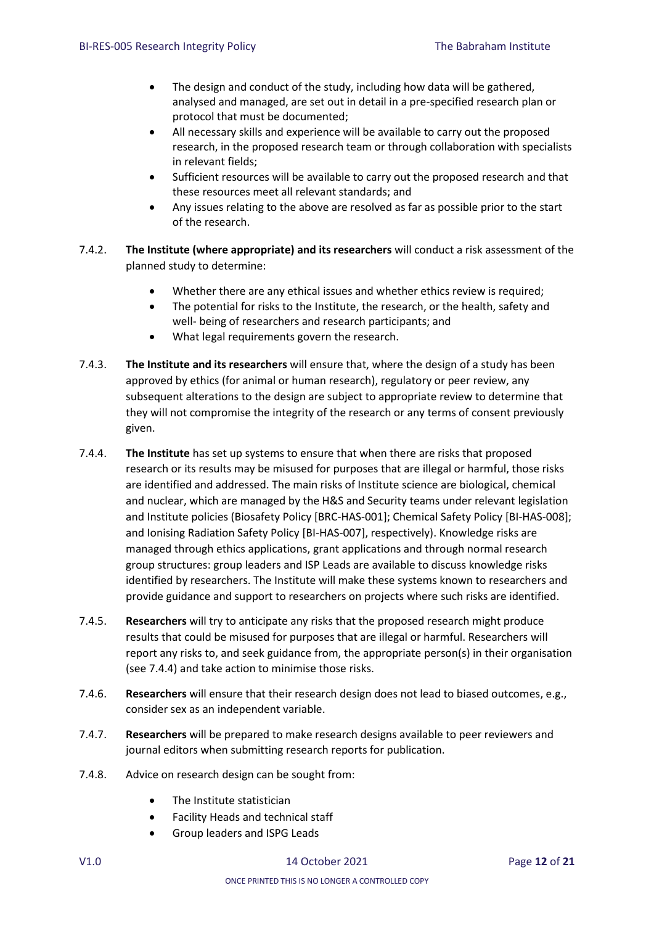- The design and conduct of the study, including how data will be gathered, analysed and managed, are set out in detail in a pre-specified research plan or protocol that must be documented;
- All necessary skills and experience will be available to carry out the proposed research, in the proposed research team or through collaboration with specialists in relevant fields;
- Sufficient resources will be available to carry out the proposed research and that these resources meet all relevant standards; and
- Any issues relating to the above are resolved as far as possible prior to the start of the research.
- 7.4.2. **The Institute (where appropriate) and its researchers** will conduct a risk assessment of the planned study to determine:
	- Whether there are any ethical issues and whether ethics review is required;
	- The potential for risks to the Institute, the research, or the health, safety and well- being of researchers and research participants; and
	- What legal requirements govern the research.
- 7.4.3. **The Institute and its researchers** will ensure that, where the design of a study has been approved by ethics (for animal or human research), regulatory or peer review, any subsequent alterations to the design are subject to appropriate review to determine that they will not compromise the integrity of the research or any terms of consent previously given.
- 7.4.4. **The Institute** has set up systems to ensure that when there are risks that proposed research or its results may be misused for purposes that are illegal or harmful, those risks are identified and addressed. The main risks of Institute science are biological, chemical and nuclear, which are managed by the H&S and Security teams under relevant legislation and Institute policies (Biosafety Policy [BRC-HAS-001]; Chemical Safety Policy [BI-HAS-008]; and Ionising Radiation Safety Policy [BI-HAS-007], respectively). Knowledge risks are managed through ethics applications, grant applications and through normal research group structures: group leaders and ISP Leads are available to discuss knowledge risks identified by researchers. The Institute will make these systems known to researchers and provide guidance and support to researchers on projects where such risks are identified.
- 7.4.5. **Researchers** will try to anticipate any risks that the proposed research might produce results that could be misused for purposes that are illegal or harmful. Researchers will report any risks to, and seek guidance from, the appropriate person(s) in their organisation (see 7.4.4) and take action to minimise those risks.
- 7.4.6. **Researchers** will ensure that their research design does not lead to biased outcomes, e.g., consider sex as an independent variable.
- 7.4.7. **Researchers** will be prepared to make research designs available to peer reviewers and journal editors when submitting research reports for publication.
- 7.4.8. Advice on research design can be sought from:
	- The Institute statistician
	- Facility Heads and technical staff
	- Group leaders and ISPG Leads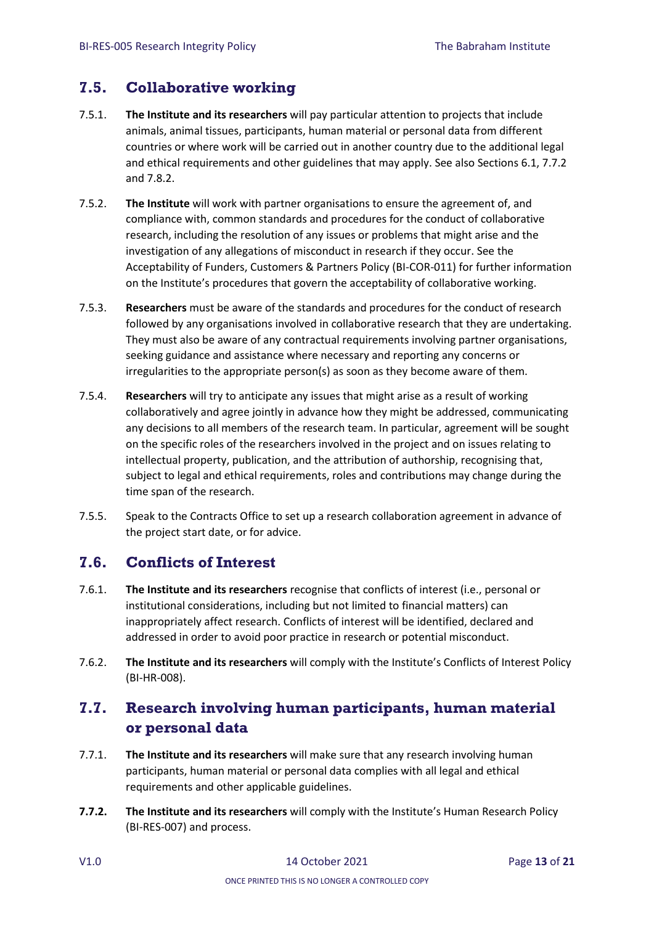### <span id="page-12-0"></span>**7.5. Collaborative working**

- 7.5.1. **The Institute and its researchers** will pay particular attention to projects that include animals, animal tissues, participants, human material or personal data from different countries or where work will be carried out in another country due to the additional legal and ethical requirements and other guidelines that may apply. See also Sections 6.1, 7.7.2 and 7.8.2.
- 7.5.2. **The Institute** will work with partner organisations to ensure the agreement of, and compliance with, common standards and procedures for the conduct of collaborative research, including the resolution of any issues or problems that might arise and the investigation of any allegations of misconduct in research if they occur. See the Acceptability of Funders, Customers & Partners Policy (BI-COR-011) for further information on the Institute's procedures that govern the acceptability of collaborative working.
- 7.5.3. **Researchers** must be aware of the standards and procedures for the conduct of research followed by any organisations involved in collaborative research that they are undertaking. They must also be aware of any contractual requirements involving partner organisations, seeking guidance and assistance where necessary and reporting any concerns or irregularities to the appropriate person(s) as soon as they become aware of them.
- 7.5.4. **Researchers** will try to anticipate any issues that might arise as a result of working collaboratively and agree jointly in advance how they might be addressed, communicating any decisions to all members of the research team. In particular, agreement will be sought on the specific roles of the researchers involved in the project and on issues relating to intellectual property, publication, and the attribution of authorship, recognising that, subject to legal and ethical requirements, roles and contributions may change during the time span of the research.
- 7.5.5. Speak to the Contracts Office to set up a research collaboration agreement in advance of the project start date, or for advice.

### <span id="page-12-1"></span>**7.6. Conflicts of Interest**

- 7.6.1. **The Institute and its researchers** recognise that conflicts of interest (i.e., personal or institutional considerations, including but not limited to financial matters) can inappropriately affect research. Conflicts of interest will be identified, declared and addressed in order to avoid poor practice in research or potential misconduct.
- 7.6.2. **The Institute and its researchers** will comply with the Institute's Conflicts of Interest Policy (BI-HR-008).

## <span id="page-12-2"></span>**7.7. Research involving human participants, human material or personal data**

- 7.7.1. **The Institute and its researchers** will make sure that any research involving human participants, human material or personal data complies with all legal and ethical requirements and other applicable guidelines.
- **7.7.2. The Institute and its researchers** will comply with the Institute's Human Research Policy (BI-RES-007) and process.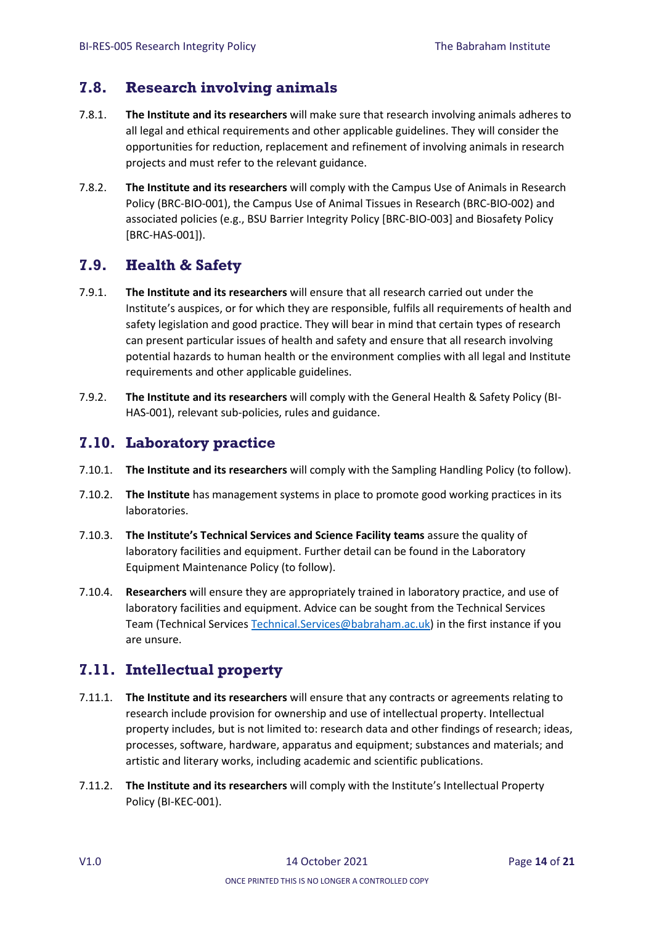### <span id="page-13-0"></span>**7.8. Research involving animals**

- 7.8.1. **The Institute and its researchers** will make sure that research involving animals adheres to all legal and ethical requirements and other applicable guidelines. They will consider the opportunities for reduction, replacement and refinement of involving animals in research projects and must refer to the relevant guidance.
- 7.8.2. **The Institute and its researchers** will comply with the Campus Use of Animals in Research Policy (BRC-BIO-001), the Campus Use of Animal Tissues in Research (BRC-BIO-002) and associated policies (e.g., BSU Barrier Integrity Policy [BRC-BIO-003] and Biosafety Policy [BRC-HAS-001]).

### <span id="page-13-1"></span>**7.9. Health & Safety**

- 7.9.1. **The Institute and its researchers** will ensure that all research carried out under the Institute's auspices, or for which they are responsible, fulfils all requirements of health and safety legislation and good practice. They will bear in mind that certain types of research can present particular issues of health and safety and ensure that all research involving potential hazards to human health or the environment complies with all legal and Institute requirements and other applicable guidelines.
- 7.9.2. **The Institute and its researchers** will comply with the General Health & Safety Policy (BI-HAS-001), relevant sub-policies, rules and guidance.

### <span id="page-13-2"></span>**7.10. Laboratory practice**

- 7.10.1. **The Institute and its researchers** will comply with the Sampling Handling Policy (to follow).
- 7.10.2. **The Institute** has management systems in place to promote good working practices in its laboratories.
- 7.10.3. **The Institute's Technical Services and Science Facility teams** assure the quality of laboratory facilities and equipment. Further detail can be found in the Laboratory Equipment Maintenance Policy (to follow).
- 7.10.4. **Researchers** will ensure they are appropriately trained in laboratory practice, and use of laboratory facilities and equipment. Advice can be sought from the Technical Services Team (Technical Service[s Technical.Services@babraham.ac.uk\)](mailto:Technical.Services@babraham.ac.uk) in the first instance if you are unsure.

### <span id="page-13-3"></span>**7.11. Intellectual property**

- 7.11.1. **The Institute and its researchers** will ensure that any contracts or agreements relating to research include provision for ownership and use of intellectual property. Intellectual property includes, but is not limited to: research data and other findings of research; ideas, processes, software, hardware, apparatus and equipment; substances and materials; and artistic and literary works, including academic and scientific publications.
- 7.11.2. **The Institute and its researchers** will comply with the Institute's Intellectual Property Policy (BI-KEC-001).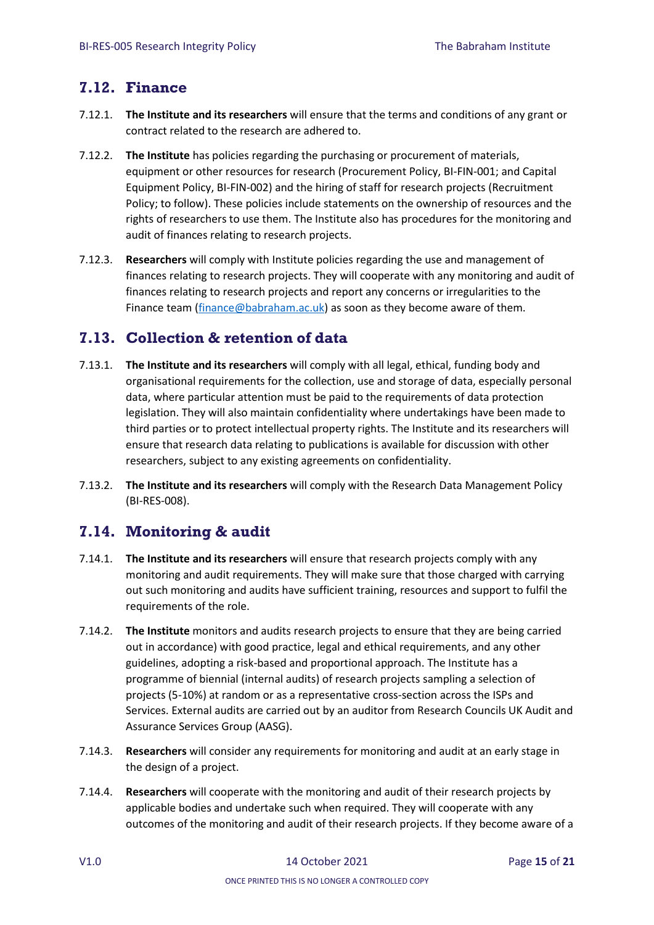### <span id="page-14-0"></span>**7.12. Finance**

- 7.12.1. **The Institute and its researchers** will ensure that the terms and conditions of any grant or contract related to the research are adhered to.
- 7.12.2. **The Institute** has policies regarding the purchasing or procurement of materials, equipment or other resources for research (Procurement Policy, BI-FIN-001; and Capital Equipment Policy, BI-FIN-002) and the hiring of staff for research projects (Recruitment Policy; to follow). These policies include statements on the ownership of resources and the rights of researchers to use them. The Institute also has procedures for the monitoring and audit of finances relating to research projects.
- 7.12.3. **Researchers** will comply with Institute policies regarding the use and management of finances relating to research projects. They will cooperate with any monitoring and audit of finances relating to research projects and report any concerns or irregularities to the Finance team [\(finance@babraham.ac.uk\)](mailto:finance@babraham.ac.uk) as soon as they become aware of them.

## <span id="page-14-1"></span>**7.13. Collection & retention of data**

- 7.13.1. **The Institute and its researchers** will comply with all legal, ethical, funding body and organisational requirements for the collection, use and storage of data, especially personal data, where particular attention must be paid to the requirements of data protection legislation. They will also maintain confidentiality where undertakings have been made to third parties or to protect intellectual property rights. The Institute and its researchers will ensure that research data relating to publications is available for discussion with other researchers, subject to any existing agreements on confidentiality.
- 7.13.2. **The Institute and its researchers** will comply with the Research Data Management Policy (BI-RES-008).

### <span id="page-14-2"></span>**7.14. Monitoring & audit**

- 7.14.1. **The Institute and its researchers** will ensure that research projects comply with any monitoring and audit requirements. They will make sure that those charged with carrying out such monitoring and audits have sufficient training, resources and support to fulfil the requirements of the role.
- 7.14.2. **The Institute** monitors and audits research projects to ensure that they are being carried out in accordance) with good practice, legal and ethical requirements, and any other guidelines, adopting a risk-based and proportional approach. The Institute has a programme of biennial (internal audits) of research projects sampling a selection of projects (5-10%) at random or as a representative cross-section across the ISPs and Services. External audits are carried out by an auditor from Research Councils UK Audit and Assurance Services Group (AASG).
- 7.14.3. **Researchers** will consider any requirements for monitoring and audit at an early stage in the design of a project.
- 7.14.4. **Researchers** will cooperate with the monitoring and audit of their research projects by applicable bodies and undertake such when required. They will cooperate with any outcomes of the monitoring and audit of their research projects. If they become aware of a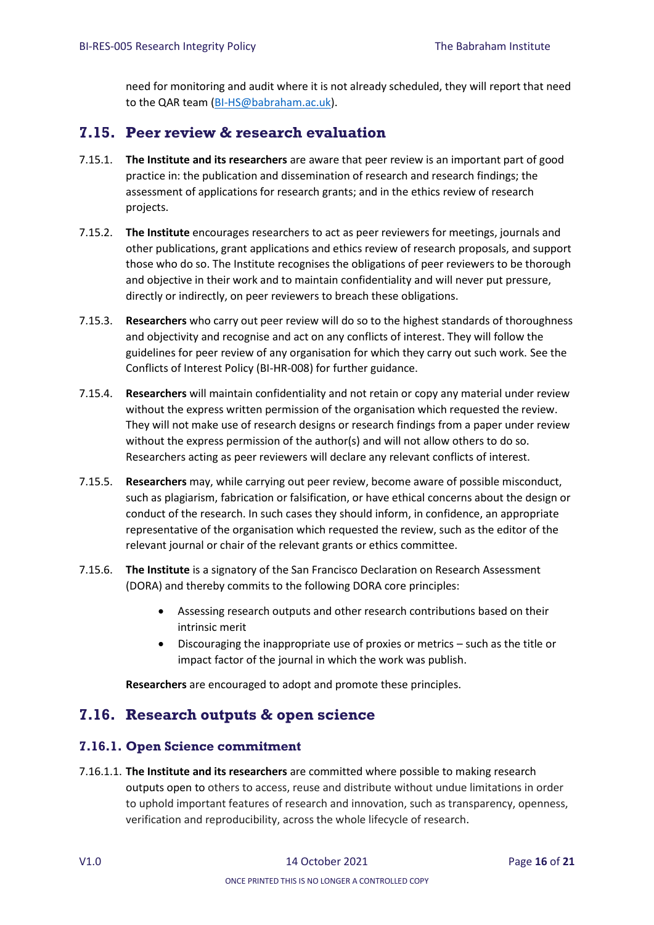need for monitoring and audit where it is not already scheduled, they will report that need to the QAR team [\(BI-HS@babraham.ac.uk\)](file:///C:/Users/lilleyk/AppData/Local/Microsoft/Windows/INetCache/Content.Outlook/9B7LR01U/BI-HS@babraham.ac.uk).

### <span id="page-15-0"></span>**7.15. Peer review & research evaluation**

- 7.15.1. **The Institute and its researchers** are aware that peer review is an important part of good practice in: the publication and dissemination of research and research findings; the assessment of applications for research grants; and in the ethics review of research projects.
- 7.15.2. **The Institute** encourages researchers to act as peer reviewers for meetings, journals and other publications, grant applications and ethics review of research proposals, and support those who do so. The Institute recognises the obligations of peer reviewers to be thorough and objective in their work and to maintain confidentiality and will never put pressure, directly or indirectly, on peer reviewers to breach these obligations.
- 7.15.3. **Researchers** who carry out peer review will do so to the highest standards of thoroughness and objectivity and recognise and act on any conflicts of interest. They will follow the guidelines for peer review of any organisation for which they carry out such work. See the Conflicts of Interest Policy (BI-HR-008) for further guidance.
- 7.15.4. **Researchers** will maintain confidentiality and not retain or copy any material under review without the express written permission of the organisation which requested the review. They will not make use of research designs or research findings from a paper under review without the express permission of the author(s) and will not allow others to do so. Researchers acting as peer reviewers will declare any relevant conflicts of interest.
- 7.15.5. **Researchers** may, while carrying out peer review, become aware of possible misconduct, such as plagiarism, fabrication or falsification, or have ethical concerns about the design or conduct of the research. In such cases they should inform, in confidence, an appropriate representative of the organisation which requested the review, such as the editor of the relevant journal or chair of the relevant grants or ethics committee.
- 7.15.6. **The Institute** is a signatory of the San Francisco Declaration on Research Assessment (DORA) and thereby commits to the following DORA core principles:
	- Assessing research outputs and other research contributions based on their intrinsic merit
	- Discouraging the inappropriate use of proxies or metrics such as the title or impact factor of the journal in which the work was publish.

**Researchers** are encouraged to adopt and promote these principles.

### <span id="page-15-1"></span>**7.16. Research outputs & open science**

#### <span id="page-15-2"></span>**7.16.1. Open Science commitment**

7.16.1.1. **The Institute and its researchers** are committed where possible to making research outputs open to others to access, reuse and distribute without undue limitations in order to uphold important features of research and innovation, such as transparency, openness, verification and reproducibility, across the whole lifecycle of research.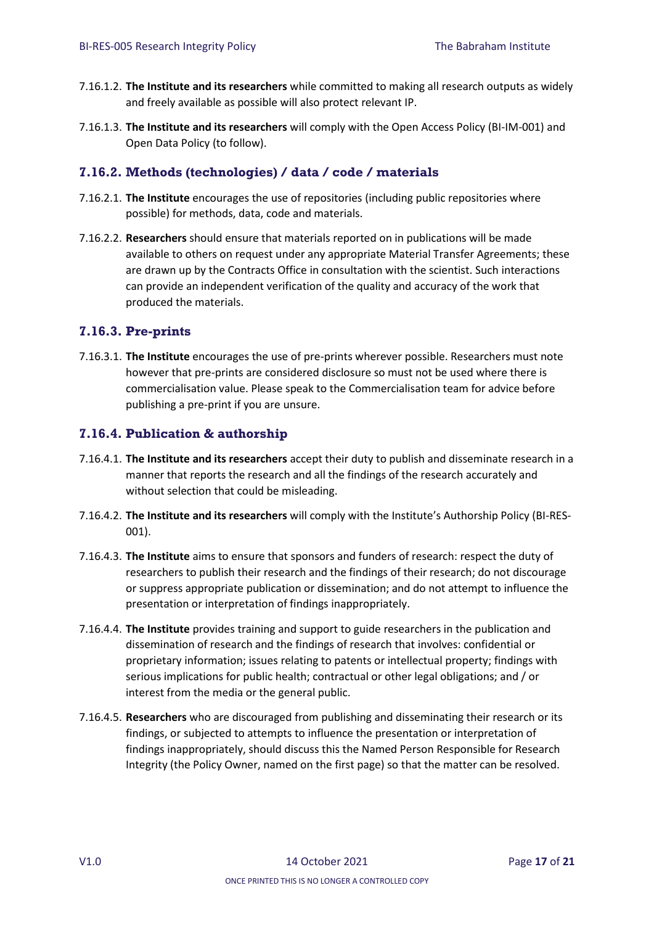- 7.16.1.2. **The Institute and its researchers** while committed to making all research outputs as widely and freely available as possible will also protect relevant IP.
- 7.16.1.3. **The Institute and its researchers** will comply with the Open Access Policy (BI-IM-001) and Open Data Policy (to follow).

#### <span id="page-16-0"></span>**7.16.2. Methods (technologies) / data / code / materials**

- 7.16.2.1. **The Institute** encourages the use of repositories (including public repositories where possible) for methods, data, code and materials.
- 7.16.2.2. **Researchers** should ensure that materials reported on in publications will be made available to others on request under any appropriate Material Transfer Agreements; these are drawn up by the Contracts Office in consultation with the scientist. Such interactions can provide an independent verification of the quality and accuracy of the work that produced the materials.

#### <span id="page-16-1"></span>**7.16.3. Pre-prints**

7.16.3.1. **The Institute** encourages the use of pre-prints wherever possible. Researchers must note however that pre-prints are considered disclosure so must not be used where there is commercialisation value. Please speak to the Commercialisation team for advice before publishing a pre-print if you are unsure.

#### <span id="page-16-2"></span>**7.16.4. Publication & authorship**

- 7.16.4.1. **The Institute and its researchers** accept their duty to publish and disseminate research in a manner that reports the research and all the findings of the research accurately and without selection that could be misleading.
- 7.16.4.2. **The Institute and its researchers** will comply with the Institute's Authorship Policy (BI-RES-001).
- 7.16.4.3. **The Institute** aims to ensure that sponsors and funders of research: respect the duty of researchers to publish their research and the findings of their research; do not discourage or suppress appropriate publication or dissemination; and do not attempt to influence the presentation or interpretation of findings inappropriately.
- 7.16.4.4. **The Institute** provides training and support to guide researchers in the publication and dissemination of research and the findings of research that involves: confidential or proprietary information; issues relating to patents or intellectual property; findings with serious implications for public health; contractual or other legal obligations; and / or interest from the media or the general public.
- 7.16.4.5. **Researchers** who are discouraged from publishing and disseminating their research or its findings, or subjected to attempts to influence the presentation or interpretation of findings inappropriately, should discuss this the Named Person Responsible for Research Integrity (the Policy Owner, named on the first page) so that the matter can be resolved.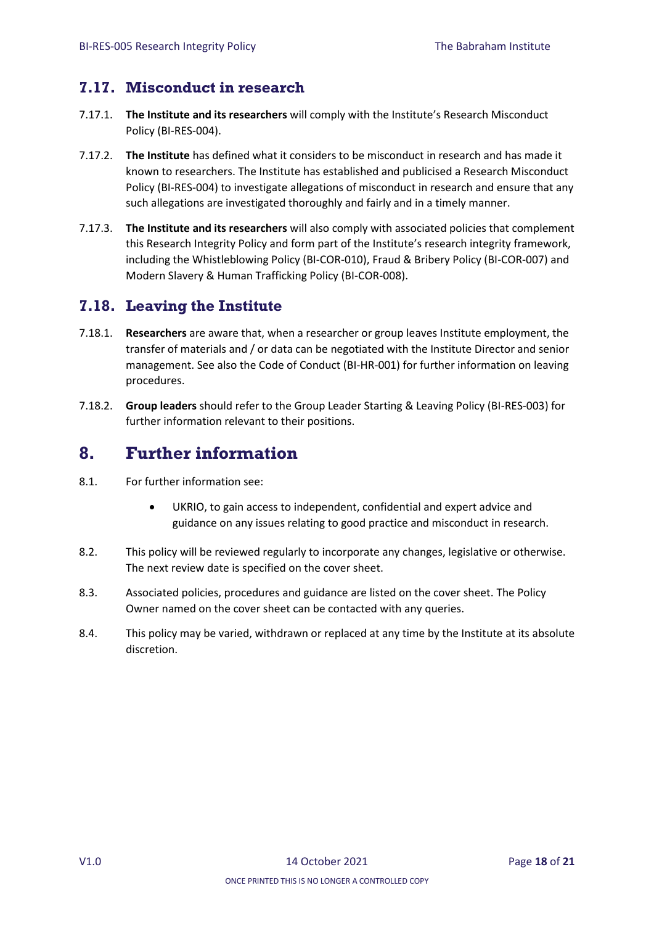## <span id="page-17-0"></span>**7.17. Misconduct in research**

- 7.17.1. **The Institute and its researchers** will comply with the Institute's Research Misconduct Policy (BI-RES-004).
- 7.17.2. **The Institute** has defined what it considers to be misconduct in research and has made it known to researchers. The Institute has established and publicised a Research Misconduct Policy (BI-RES-004) to investigate allegations of misconduct in research and ensure that any such allegations are investigated thoroughly and fairly and in a timely manner.
- 7.17.3. **The Institute and its researchers** will also comply with associated policies that complement this Research Integrity Policy and form part of the Institute's research integrity framework, including the Whistleblowing Policy (BI-COR-010), Fraud & Bribery Policy (BI-COR-007) and Modern Slavery & Human Trafficking Policy (BI-COR-008).

## <span id="page-17-1"></span>**7.18. Leaving the Institute**

- 7.18.1. **Researchers** are aware that, when a researcher or group leaves Institute employment, the transfer of materials and / or data can be negotiated with the Institute Director and senior management. See also the Code of Conduct (BI-HR-001) for further information on leaving procedures.
- 7.18.2. **Group leaders** should refer to the Group Leader Starting & Leaving Policy (BI-RES-003) for further information relevant to their positions.

# <span id="page-17-2"></span>**8. Further information**

- 8.1. For further information see:
	- UKRIO, to gain access to independent, confidential and expert advice and guidance on any issues relating to good practice and misconduct in research.
- 8.2. This policy will be reviewed regularly to incorporate any changes, legislative or otherwise. The next review date is specified on the cover sheet.
- 8.3. Associated policies, procedures and guidance are listed on the cover sheet. The Policy Owner named on the cover sheet can be contacted with any queries.
- 8.4. This policy may be varied, withdrawn or replaced at any time by the Institute at its absolute discretion.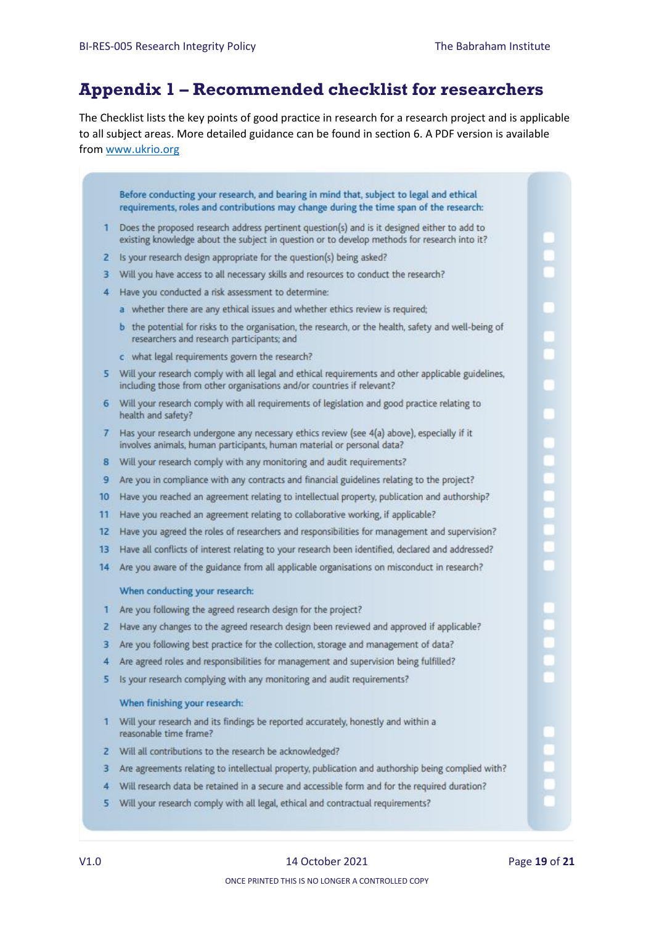# <span id="page-18-0"></span>**Appendix 1 – Recommended checklist for researchers**

The Checklist lists the key points of good practice in research for a research project and is applicable to all subject areas. More detailed guidance can be found in section 6. A PDF version is available from [www.ukrio.org](http://www.ukrio.org/)

Before conducting your research, and bearing in mind that, subject to legal and ethical requirements, roles and contributions may change during the time span of the research:

- 1 Does the proposed research address pertinent question(s) and is it designed either to add to existing knowledge about the subject in question or to develop methods for research into it?
- 2 Is your research design appropriate for the question(s) being asked?
- 3 Will you have access to all necessary skills and resources to conduct the research?
- 4 Have you conducted a risk assessment to determine:
	- a whether there are any ethical issues and whether ethics review is required:
	- b the potential for risks to the organisation, the research, or the health, safety and well-being of researchers and research participants; and
	- c what legal requirements govern the research?
- 5 Will your research comply with all legal and ethical requirements and other applicable guidelines. including those from other organisations and/or countries if relevant?
- 6 Will your research comply with all requirements of legislation and good practice relating to health and safety?
- 7 Has your research undergone any necessary ethics review (see 4(a) above), especially if it involves animals, human participants, human material or personal data?
- 8 Will your research comply with any monitoring and audit requirements?
- 9 Are you in compliance with any contracts and financial guidelines relating to the project?
- 10 Have you reached an agreement relating to intellectual property, publication and authorship?
- 11 Have you reached an agreement relating to collaborative working, if applicable?
- 12 Have you agreed the roles of researchers and responsibilities for management and supervision?
- 13 Have all conflicts of interest relating to your research been identified, declared and addressed?
- 14 Are you aware of the guidance from all applicable organisations on misconduct in research?

#### When conducting your research:

- 1 Are you following the agreed research design for the project?
- 2 Have any changes to the agreed research design been reviewed and approved if applicable?
- 3 Are you following best practice for the collection, storage and management of data?
- 4 Are agreed roles and responsibilities for management and supervision being fulfilled?
- 5 Is your research complying with any monitoring and audit requirements?

#### When finishing your research:

- 1 Will your research and its findings be reported accurately, honestly and within a reasonable time frame?
- 2 Will all contributions to the research be acknowledged?
- 3 Are agreements relating to intellectual property, publication and authorship being complied with?
- 4 Will research data be retained in a secure and accessible form and for the required duration?
- 5 Will your research comply with all legal, ethical and contractual requirements?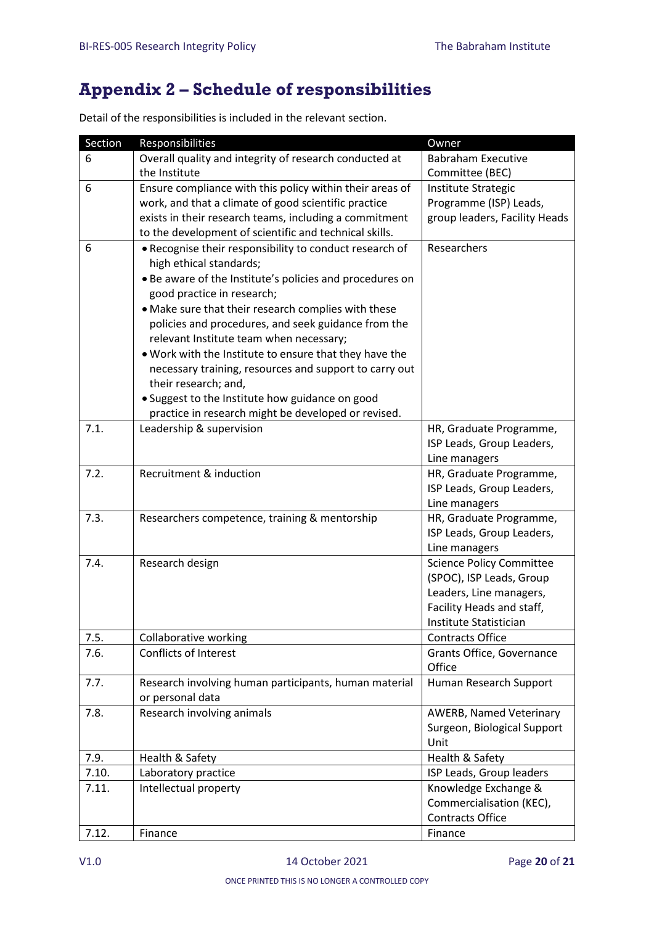# <span id="page-19-0"></span>**Appendix 2 – Schedule of responsibilities**

Detail of the responsibilities is included in the relevant section.

| Section | Responsibilities                                         | Owner                                            |
|---------|----------------------------------------------------------|--------------------------------------------------|
| 6       | Overall quality and integrity of research conducted at   | <b>Babraham Executive</b>                        |
|         | the Institute                                            | Committee (BEC)                                  |
| 6       | Ensure compliance with this policy within their areas of | Institute Strategic                              |
|         | work, and that a climate of good scientific practice     | Programme (ISP) Leads,                           |
|         | exists in their research teams, including a commitment   | group leaders, Facility Heads                    |
|         | to the development of scientific and technical skills.   |                                                  |
| 6       | . Recognise their responsibility to conduct research of  | Researchers                                      |
|         | high ethical standards;                                  |                                                  |
|         | • Be aware of the Institute's policies and procedures on |                                                  |
|         | good practice in research;                               |                                                  |
|         | • Make sure that their research complies with these      |                                                  |
|         | policies and procedures, and seek guidance from the      |                                                  |
|         | relevant Institute team when necessary;                  |                                                  |
|         | . Work with the Institute to ensure that they have the   |                                                  |
|         | necessary training, resources and support to carry out   |                                                  |
|         | their research; and,                                     |                                                  |
|         | · Suggest to the Institute how guidance on good          |                                                  |
|         | practice in research might be developed or revised.      |                                                  |
| 7.1.    | Leadership & supervision                                 | HR, Graduate Programme,                          |
|         |                                                          | ISP Leads, Group Leaders,                        |
|         |                                                          | Line managers                                    |
| 7.2.    | Recruitment & induction                                  | HR, Graduate Programme,                          |
|         |                                                          | ISP Leads, Group Leaders,                        |
|         |                                                          | Line managers                                    |
| 7.3.    | Researchers competence, training & mentorship            | HR, Graduate Programme,                          |
|         |                                                          | ISP Leads, Group Leaders,                        |
| 7.4.    | Research design                                          | Line managers<br><b>Science Policy Committee</b> |
|         |                                                          | (SPOC), ISP Leads, Group                         |
|         |                                                          | Leaders, Line managers,                          |
|         |                                                          | Facility Heads and staff,                        |
|         |                                                          | Institute Statistician                           |
| 7.5.    | Collaborative working                                    | <b>Contracts Office</b>                          |
| 7.6.    | <b>Conflicts of Interest</b>                             | Grants Office, Governance                        |
|         |                                                          | Office                                           |
| 7.7.    | Research involving human participants, human material    | Human Research Support                           |
|         | or personal data                                         |                                                  |
| 7.8.    | Research involving animals                               | AWERB, Named Veterinary                          |
|         |                                                          | Surgeon, Biological Support                      |
|         |                                                          | Unit                                             |
| 7.9.    | Health & Safety                                          | Health & Safety                                  |
| 7.10.   | Laboratory practice                                      | ISP Leads, Group leaders                         |
| 7.11.   | Intellectual property                                    | Knowledge Exchange &                             |
|         |                                                          | Commercialisation (KEC),                         |
|         |                                                          | <b>Contracts Office</b>                          |
| 7.12.   | Finance                                                  | Finance                                          |